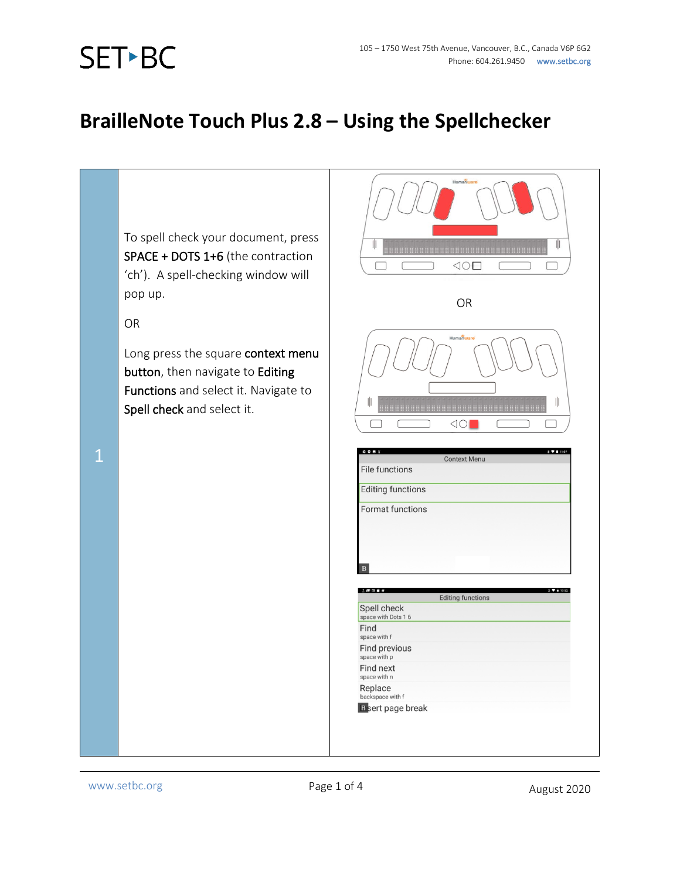## SET-BC

## **BrailleNote Touch Plus 2.8 – Using the Spellchecker**

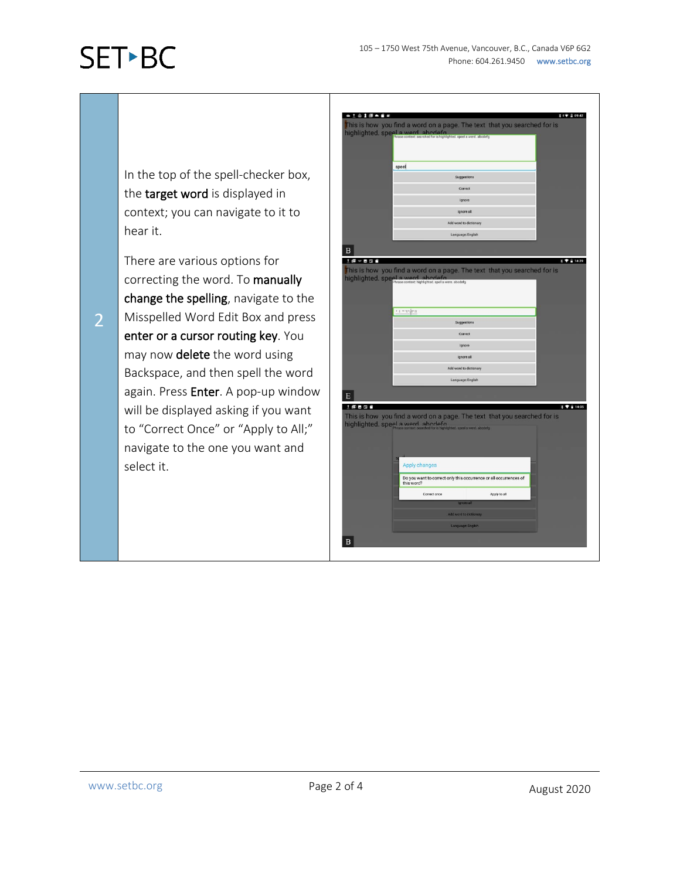## **SET-BC**

In the top of the spell-checker box, the target word is displayed in context; you can navigate to it to hear it.

There are various options for correcting the word. To manually change the spelling, navigate to the Misspelled Word Edit Box and press enter or a cursor routing key. You may now delete the word using Backspace, and then spell the word again. Press Enter. A pop-up window will be displayed asking if you want to "Correct Once" or "Apply to All;" navigate to the one you want and select it.



2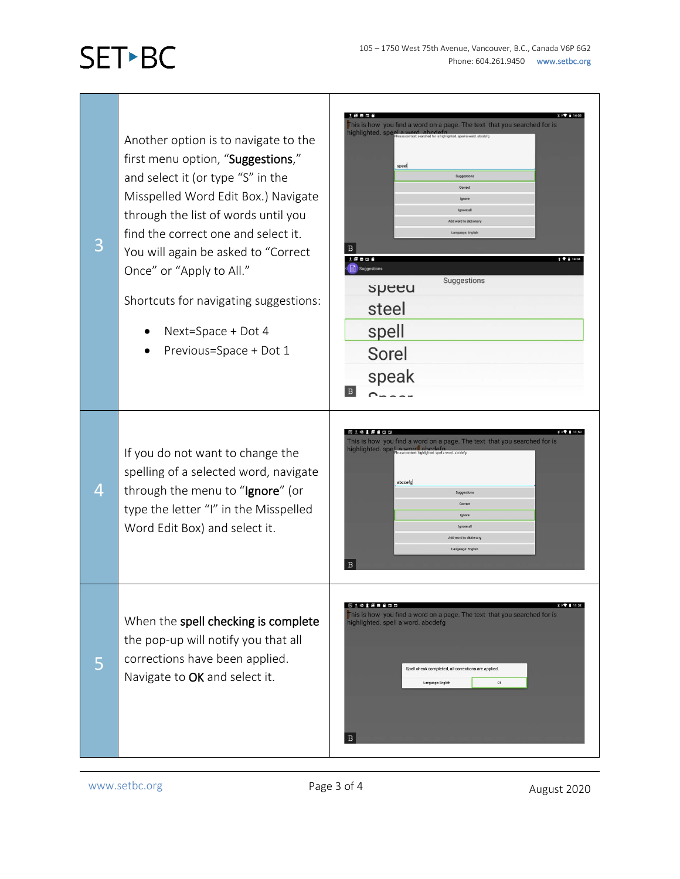## **SET-BC**

土倒易景象 you find a word on a page. The text that you searched for is is is <mark>how</mark><br>ahlighted Another option is to navigate to the first menu option, "Suggestions," speel and select it (or type "S" in the Misspelled Word Edit Box.) Navigate through the list of words until you find the correct one and select it. 3  $\vert$  B You will again be asked to "Correct i Maen  $1714$ n. Once" or "Apply to All." Suggestions speeu Shortcuts for navigating suggestions: steel spell • Next=Space + Dot 4 • Previous=Space + Dot 1 Sorel speak  $\,$  B  $\,$  $O = 2.5$ **同士 经工程合同用** is a time is a<br>his is how you find a word on a page. The text that you searched for is<br>ighlighted. spell a word, abodeformation If you do not want to change the spelling of a selected word, navigate abcdefa 4 through the menu to "Ignore" (or type the letter "I" in the Misspelled Word Edit Box) and select it. lle except  $\overline{B}$ 914195656  $\mathbf{1}$  +  $\mathbf{1}$  11:52 This is how you find a word on a page. The text that you searched for is<br>ighlighted, spell a word, abcdefg When the spell checking is complete the pop-up will notify you that all corrections have been applied. 5 pell check completed, all corrections are applied. Navigate to OK and select it.Language: English  $\, {\bf B}$